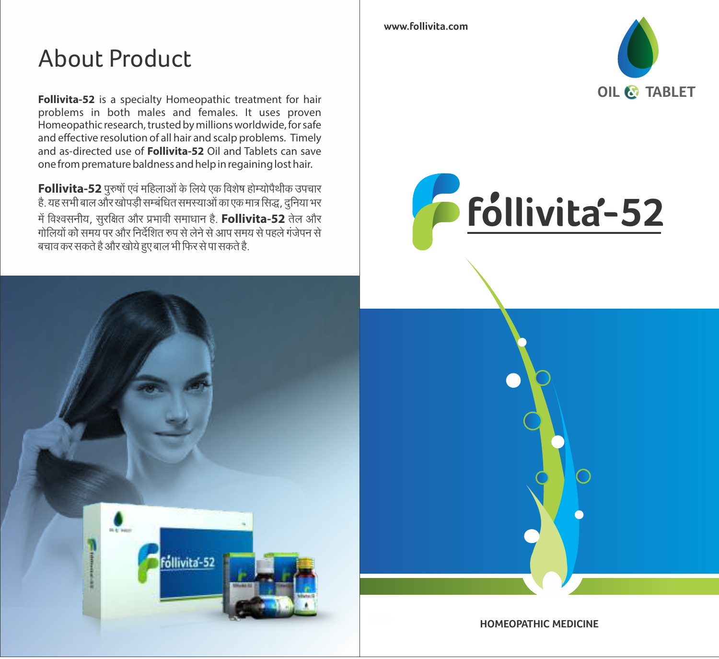## **About Product**

Follivita-52 is a specialty Homeopathic treatment for hair problems in both males and females. It uses proven Homeopathic research, trusted by millions worldwide, for safe and effective resolution of all hair and scalp problems. Timely and as-directed use of **Follivita-52** Oil and Tablets can save one from premature baldness and help in regaining lost hair.

Follivita-52 पुरुषों एवं महिलाओं के लिये एक विशेष होम्योपैथीक उपचार है. यह सभी बाल और खोपड़ी सम्बंधित समस्याओं का एक मात्र सिद्ध, दुनिया भर में विश्वसनीय, सुरक्षित और प्रभावी समाधान है. **Follivita-52** तेल और<br>गोलियों को समय पर और निर्देशित रुप से लेने से आप समय से पहले गंजेपन से बचाव कर सकते है और खोये हुए बाल भी फिर से पा सकते है.



www.follivita.com





HOMFOPATHIC MEDICINE